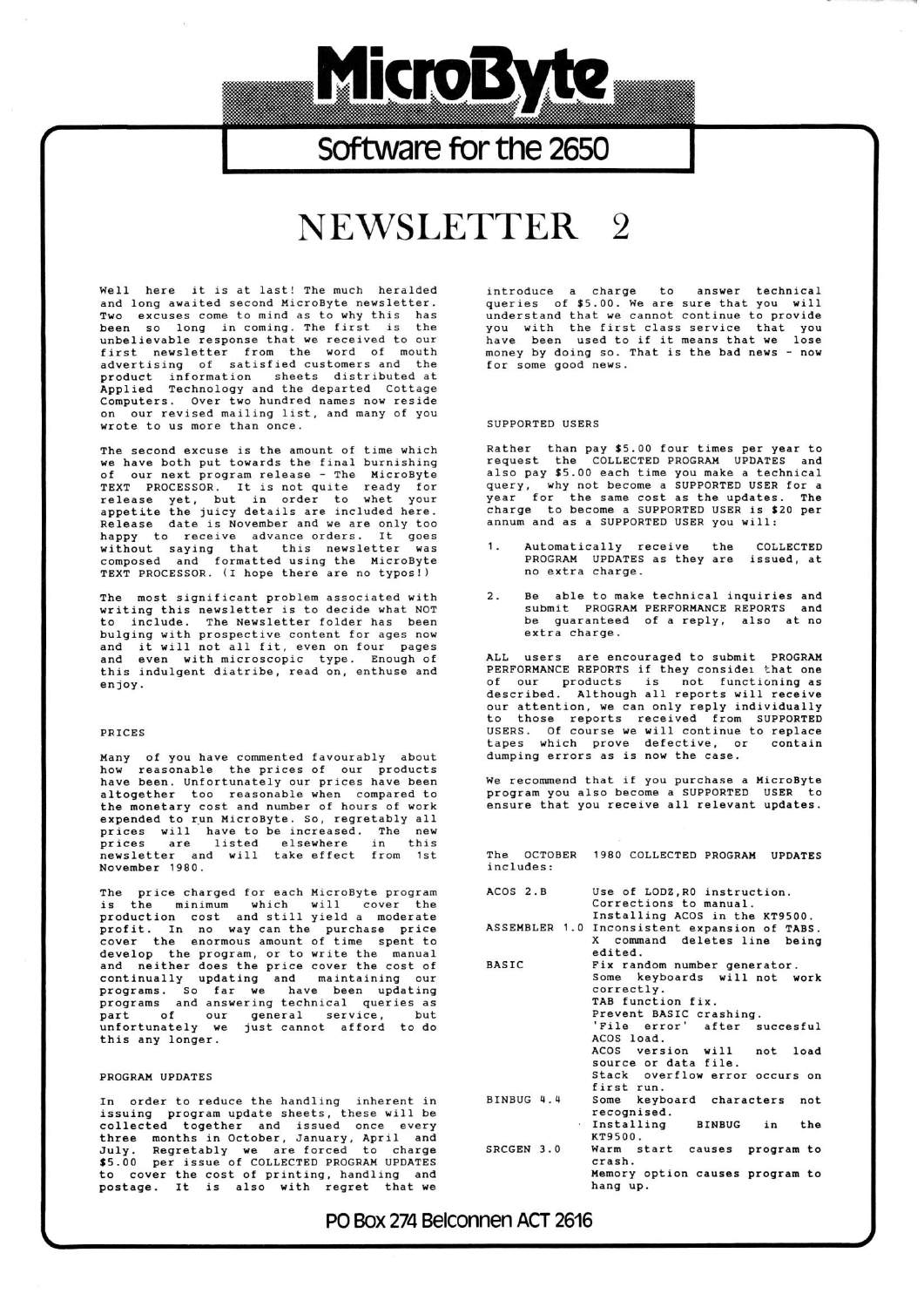# Software for the 2650

MicroByte

# NEWSLETTER<sub>2</sub>

Well here it is at last! The much heralded and long awaited second MicroByte newsletter. Two excuses come to mind as to why this has<br>been so long in coming. The first is the unbelievable response that we received to our first newsletter from the word of mouth advertising of satisfied customers and the arvertising of information sheets distributed at<br>Applied Technology and the departed Cottage Computers. Over two hundred names now reside our revised mailing list, and many of you wrote to us more than once.

The second excuse is the amount of time which we have both put towards the final burnishing our next program release - The MicroByte of TEXT PROCESSOR. It is not quite ready for<br>release yet, but in order to whet your<br>appetite the juicy details are included here.<br>Release date is November and we are only too Mappy to receive advance orders. It goes<br>without saying that this newsletter was<br>composed and formatted using the MicroByte<br>TEXT PROCESSOR. (I hope there are no typos!)

The most significant problem associated with writing this newsletter is to decide what NOT to include. The Newsletter folder has been bulging with prospective content for ages now<br>and it will not all fit, even on four pages<br>and even with microscopic type. Enough of this indulgent diatribe, read on, enthuse and enjoy.

### PRICES

Many of you have commented favourably about how reasonable the prices of our products<br>have been. Unfortunately our prices have been<br>altogether too reasonable when compared to the monetary cost and number of hours of work expended to run MicroByte. So, regretably all prices will have to be increased. The new<br>prices are listed elsewhere in this<br>newsletter and will take effect from 1st November 1980.

price charged for each MicroByte program The is the minimum which will cover the<br>production cost and still yield a moderate<br>profit. In no way can the purchase price<br>cover the enormous amount of time spent to is the develop the program, or to write the manual<br>and neither does the price cover the cost of continually updating and maintaining our<br>programs. So far we have been updating<br>programs and answering technical queries as part of our general service, but<br>unfortunately we just cannot afford to do this any longer.

## PROGRAM UPDATES

In order to reduce the handling inherent in<br>issuing program update sheets, these will be<br>collected together and issued once every issuing program update sheets, these will be<br>collected together and issued once every<br>three months in October, January, April and<br>July. Regretably we are forced to charge<br>\$5.00 per issue of COLLECTED PROGRAM UPDATES<br>to cov introduce a charge to answer technical<br>queries of \$5.00. We are sure that you will<br>understand that we cannot continue to provide<br>you with the first class service that you have been used to if it means that we lose money by doing so. That is the bad news - now for some good news.

#### SUPPORTED USERS

Rather than pay \$5.00 four times per year to<br>request the COLLECTED PROGRAM UPDATES and also pay \$5.00 each time you make a technical<br>also pay \$5.00 each time you make a technical<br>query, why not become a SUPPORTED USER for a query, why not become a SUPPORTED USER for a<br>year for the same cost as the updates. The<br>charge to become a SUPPORTED USER is \$20 per annum and as a SUPPORTED USER you will:

- Automatically receive the COLLECTED PROGRAM UPDATES as they are issued, at no extra charge.
- Be able to make technical inquiries and  $2.$ submit PROGRAM PERFORMANCE REPORTS and be guaranteed of a reply, also at no extra charge.

ALL users are encouraged to submit PROGRAM<br>PERFORMANCE REPORTS if they consider that one of our products is not functioning as<br>described. Although all reports will receive our attention, we can only reply individually to those reports received from SUPPORTED<br>USERS. Of course we will continue to replace<br>tapes which prove defective, or contain dumping errors as is now the case.

We recommend that if you purchase a MicroByte program you also become a SUPPORTED USER to ensure that you receive all relevant updates.

The OCTOBER 1980 COLLECTED PROGRAM UPDATES includes: Use of LODZ, RO instruction.<br>Corrections to manual. ACOS 2.B Installing ACOS in the KT9500. ASSEMBLER 1.0 Inconsistent expansion of TABS. X command deletes line being edited. **BASIC** Fix random number generator.

|            | Some keyboards will not work                |
|------------|---------------------------------------------|
|            | correctly.                                  |
|            | TAB function fix.                           |
|            | Prevent BASIC crashing.                     |
|            | 'File error' after succesful                |
|            | ACOS load.                                  |
|            | ACOS version will not load                  |
|            | source or data file.                        |
|            | Stack overflow error occurs on              |
|            | first run.                                  |
| BINBUG 4.4 | Some keyboard characters not<br>recognised. |
|            | Installing BINBUG in<br>the<br>KT9500.      |
| SRCGEN 3.0 | Warm start causes program to<br>crash.      |
|            | Memory option causes program to<br>hang up. |

PO Box 274 Belconnen ACT 2616